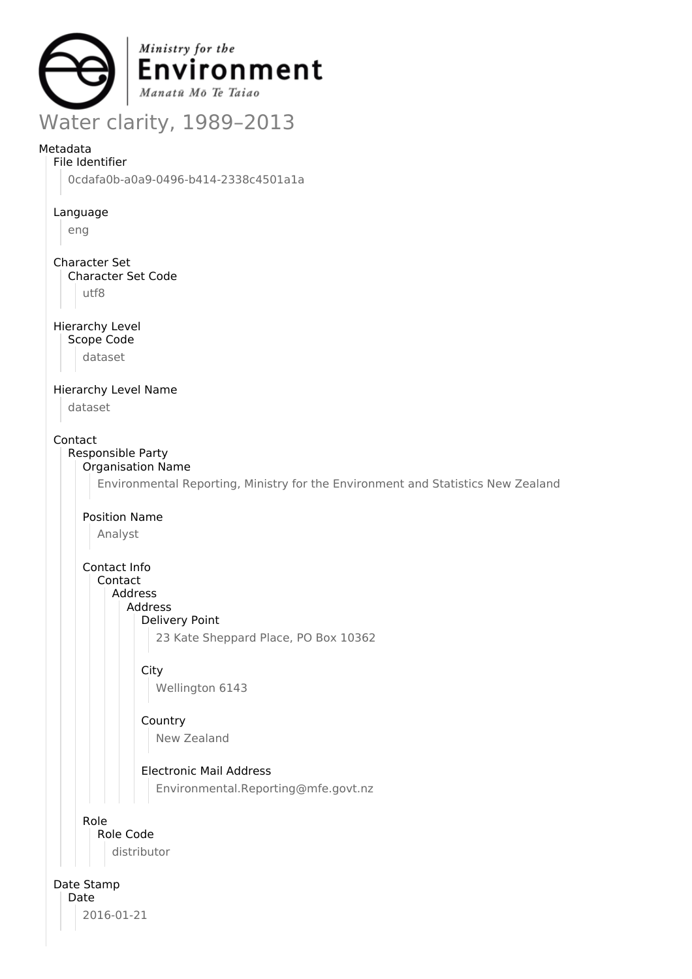

# Metadata

File Identifier

0cdafa0b-a0a9-0496-b414-2338c4501a1a

Language

eng

Character Set

Character Set Code

utf8

Hierarchy Level

Scope Code

dataset

Hierarchy Level Name

dataset

Contact

Responsible Party Organisation Name

Environmental Reporting, Ministry for the Environment and Statistics New Zealand

Position Name

Analyst

Contact Info Contact

Address

Address

Delivery Point

23 Kate Sheppard Place, PO Box 10362

**City** 

Wellington 6143

Country New Zealand

Electronic Mail Address

Environmental.Reporting@mfe.govt.nz

Role

Role Code

distributor

Date Stamp

Date 2016-01-21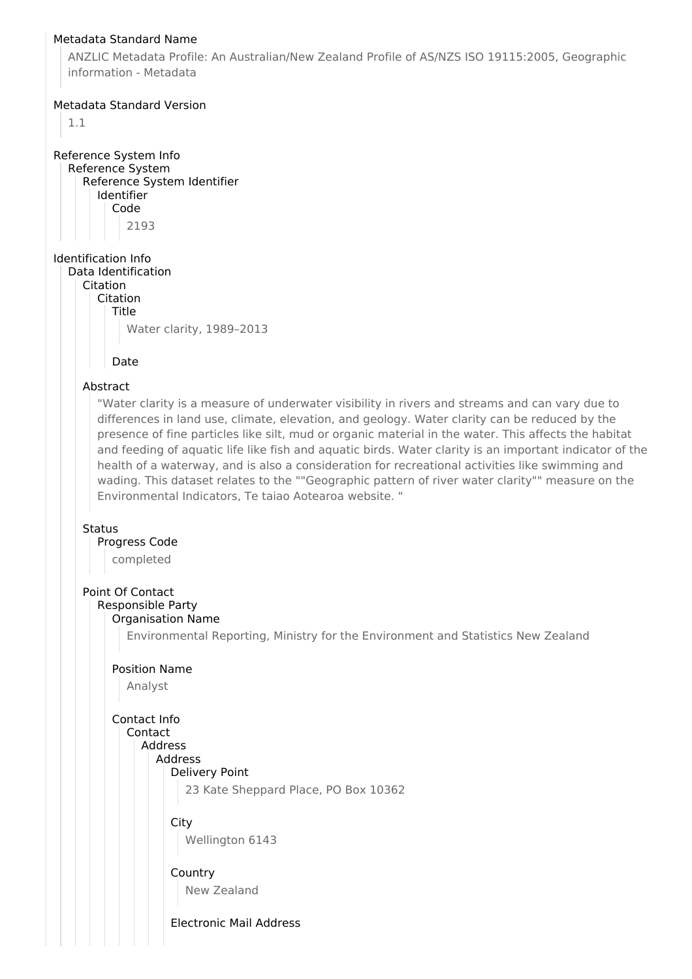### Metadata Standard Name

ANZLIC Metadata Profile: An Australian/New Zealand Profile of AS/NZS ISO 19115:2005, Geographic information - Metadata

## Metadata Standard Version

1.1

Reference System Info Reference System Reference System Identifier Identifier Code 2193

Identification Info Data Identification

Citation

Citation

Title

Water clarity, 1989–2013

## Date

# Abstract

"Water clarity is a measure of underwater visibility in rivers and streams and can vary due to differences in land use, climate, elevation, and geology. Water clarity can be reduced by the presence of fine particles like silt, mud or organic material in the water. This affects the habitat and feeding of aquatic life like fish and aquatic birds. Water clarity is an important indicator of the health of a waterway, and is also a consideration for recreational activities like swimming and wading. This dataset relates to the ""Geographic pattern of river water clarity"" measure on the Environmental Indicators, Te taiao Aotearoa website. "

### **Status**

Progress Code

completed

# Point Of Contact

#### Responsible Party Organisation Name

Environmental Reporting, Ministry for the Environment and Statistics New Zealand

### Position Name

Analyst

# Contact Info

| Contact                              |
|--------------------------------------|
| Address                              |
| Address                              |
| Delivery Point                       |
| 23 Kate Sheppard Place, PO Box 10362 |
|                                      |
| City                                 |
| Wellington 6143                      |
| Country                              |
| New Zealand                          |
| Electronic Mail Address              |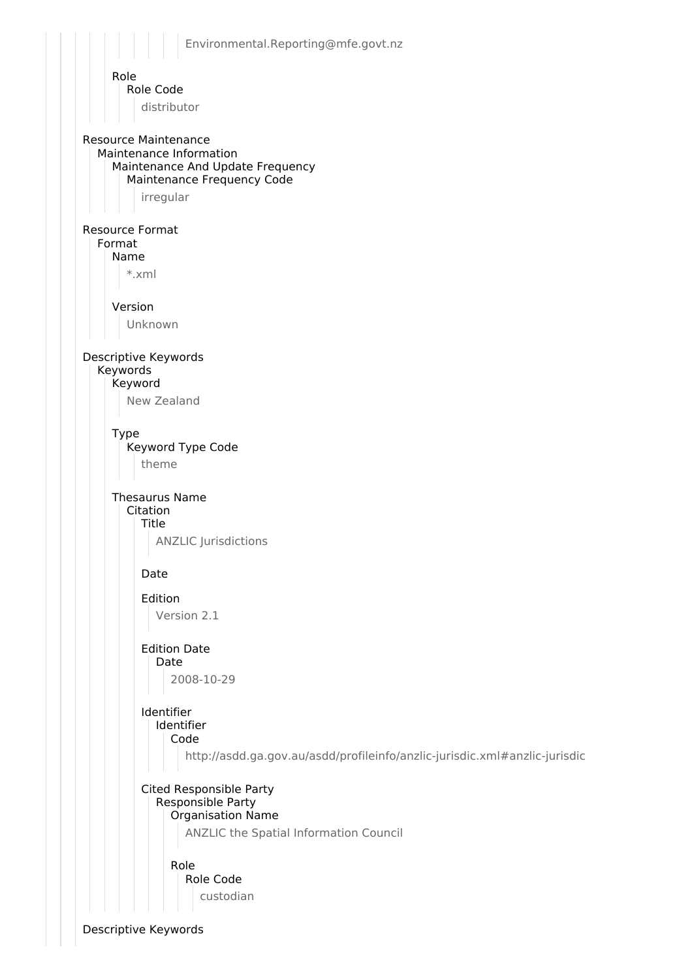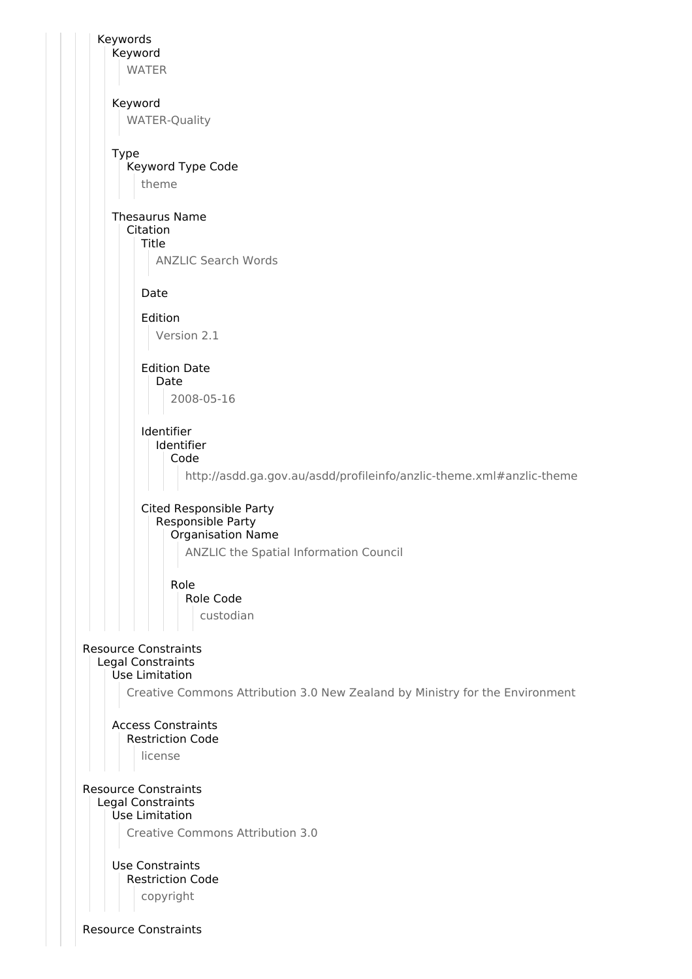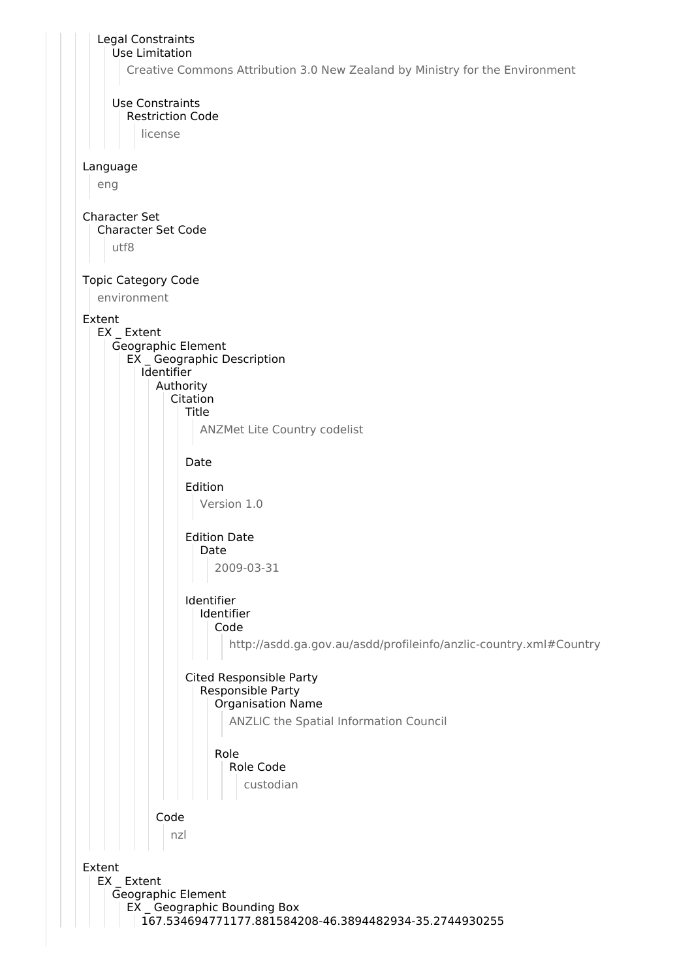